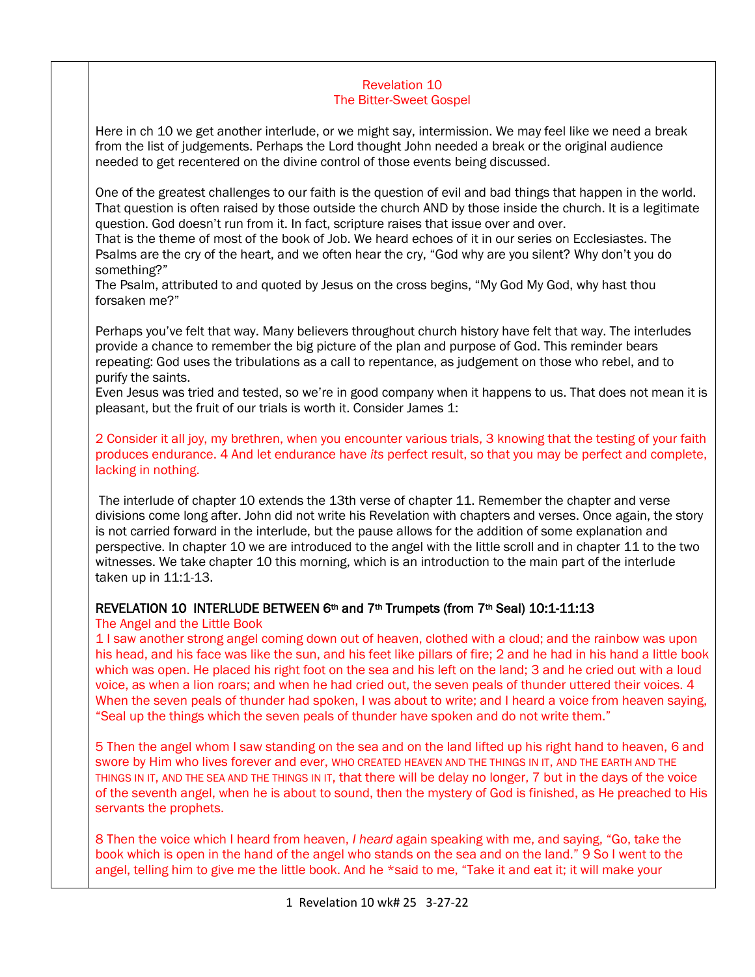## Revelation 10 The Bitter-Sweet Gospel

Here in ch 10 we get another interlude, or we might say, intermission. We may feel like we need a break from the list of judgements. Perhaps the Lord thought John needed a break or the original audience needed to get recentered on the divine control of those events being discussed.

One of the greatest challenges to our faith is the question of evil and bad things that happen in the world. That question is often raised by those outside the church AND by those inside the church. It is a legitimate question. God doesn't run from it. In fact, scripture raises that issue over and over.

That is the theme of most of the book of Job. We heard echoes of it in our series on Ecclesiastes. The Psalms are the cry of the heart, and we often hear the cry, "God why are you silent? Why don't you do something?"

The Psalm, attributed to and quoted by Jesus on the cross begins, "My God My God, why hast thou forsaken me?"

Perhaps you've felt that way. Many believers throughout church history have felt that way. The interludes provide a chance to remember the big picture of the plan and purpose of God. This reminder bears repeating: God uses the tribulations as a call to repentance, as judgement on those who rebel, and to purify the saints.

Even Jesus was tried and tested, so we're in good company when it happens to us. That does not mean it is pleasant, but the fruit of our trials is worth it. Consider James 1:

2 Consider it all joy, my brethren, when you encounter various trials, 3 knowing that the testing of your faith produces endurance. 4 And let endurance have *its* perfect result, so that you may be perfect and complete, lacking in nothing.

The interlude of chapter 10 extends the 13th verse of chapter 11. Remember the chapter and verse divisions come long after. John did not write his Revelation with chapters and verses. Once again, the story is not carried forward in the interlude, but the pause allows for the addition of some explanation and perspective. In chapter 10 we are introduced to the angel with the little scroll and in chapter 11 to the two witnesses. We take chapter 10 this morning, which is an introduction to the main part of the interlude taken up in 11:1-13.

## REVELATION 10 INTERLUDE BETWEEN  $6th$  and  $7th$  Trumpets (from  $7th$  Seal) 10:1-11:13

## The Angel and the Little Book

1 I saw another strong angel coming down out of heaven, clothed with a cloud; and the rainbow was upon his head, and his face was like the sun, and his feet like pillars of fire; 2 and he had in his hand a little book which was open. He placed his right foot on the sea and his left on the land; 3 and he cried out with a loud voice, as when a lion roars; and when he had cried out, the seven peals of thunder uttered their voices. 4 When the seven peals of thunder had spoken, I was about to write; and I heard a voice from heaven saying, "Seal up the things which the seven peals of thunder have spoken and do not write them."

5 Then the angel whom I saw standing on the sea and on the land lifted up his right hand to heaven, 6 and swore by Him who lives forever and ever, WHO CREATED HEAVEN AND THE THINGS IN IT, AND THE EARTH AND THE THINGS IN IT, AND THE SEA AND THE THINGS IN IT, that there will be delay no longer, 7 but in the days of the voice of the seventh angel, when he is about to sound, then the mystery of God is finished, as He preached to His servants the prophets.

8 Then the voice which I heard from heaven, *I heard* again speaking with me, and saying, "Go, take the book which is open in the hand of the angel who stands on the sea and on the land." 9 So I went to the angel, telling him to give me the little book. And he \*said to me, "Take it and eat it; it will make your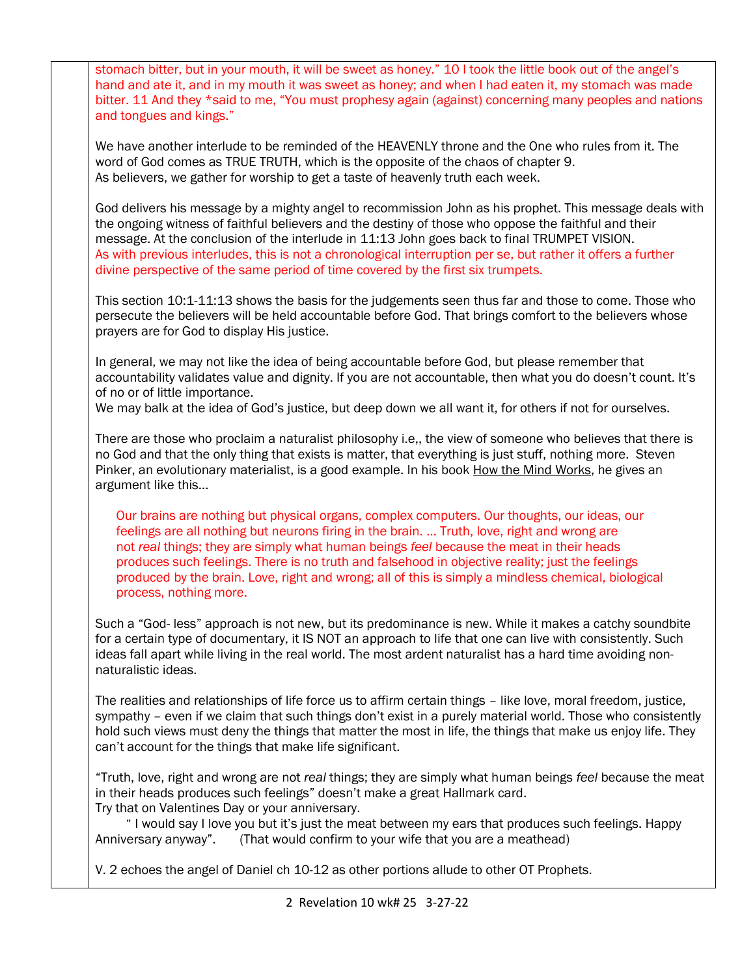stomach bitter, but in your mouth, it will be sweet as honey." 10 I took the little book out of the angel's hand and ate it, and in my mouth it was sweet as honey; and when I had eaten it, my stomach was made bitter. 11 And they \*said to me, "You must prophesy again (against) concerning many peoples and nations and tongues and kings." We have another interlude to be reminded of the HEAVENLY throne and the One who rules from it. The word of God comes as TRUE TRUTH, which is the opposite of the chaos of chapter 9. As believers, we gather for worship to get a taste of heavenly truth each week. God delivers his message by a mighty angel to recommission John as his prophet. This message deals with the ongoing witness of faithful believers and the destiny of those who oppose the faithful and their message. At the conclusion of the interlude in 11:13 John goes back to final TRUMPET VISION. As with previous interludes, this is not a chronological interruption per se, but rather it offers a further divine perspective of the same period of time covered by the first six trumpets. This section 10:1-11:13 shows the basis for the judgements seen thus far and those to come. Those who persecute the believers will be held accountable before God. That brings comfort to the believers whose prayers are for God to display His justice. In general, we may not like the idea of being accountable before God, but please remember that accountability validates value and dignity. If you are not accountable, then what you do doesn't count. It's of no or of little importance. We may balk at the idea of God's justice, but deep down we all want it, for others if not for ourselves. There are those who proclaim a naturalist philosophy i.e,, the view of someone who believes that there is no God and that the only thing that exists is matter, that everything is just stuff, nothing more. Steven Pinker, an evolutionary materialist, is a good example. In his book How the Mind Works, he gives an argument like this… Our brains are nothing but physical organs, complex computers. Our thoughts, our ideas, our feelings are all nothing but neurons firing in the brain. … Truth, love, right and wrong are not *real* things; they are simply what human beings *feel* because the meat in their heads produces such feelings. There is no truth and falsehood in objective reality; just the feelings produced by the brain. Love, right and wrong; all of this is simply a mindless chemical, biological process, nothing more. Such a "God- less" approach is not new, but its predominance is new. While it makes a catchy soundbite for a certain type of documentary, it IS NOT an approach to life that one can live with consistently. Such ideas fall apart while living in the real world. The most ardent naturalist has a hard time avoiding nonnaturalistic ideas. The realities and relationships of life force us to affirm certain things – like love, moral freedom, justice, sympathy – even if we claim that such things don't exist in a purely material world. Those who consistently hold such views must deny the things that matter the most in life, the things that make us enjoy life. They can't account for the things that make life significant. "Truth, love, right and wrong are not *real* things; they are simply what human beings *feel* because the meat in their heads produces such feelings" doesn't make a great Hallmark card. Try that on Valentines Day or your anniversary. " I would say I love you but it's just the meat between my ears that produces such feelings. Happy Anniversary anyway". (That would confirm to your wife that you are a meathead) V. 2 echoes the angel of Daniel ch 10-12 as other portions allude to other OT Prophets.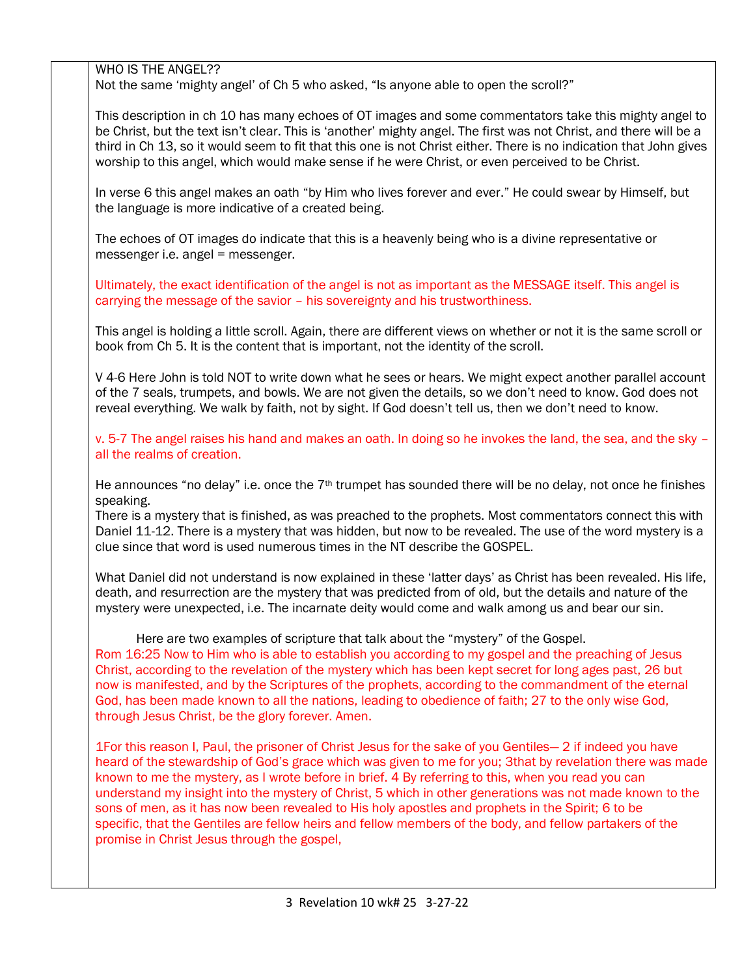WHO IS THE ANGEL??

Not the same 'mighty angel' of Ch 5 who asked, "Is anyone able to open the scroll?"

This description in ch 10 has many echoes of OT images and some commentators take this mighty angel to be Christ, but the text isn't clear. This is 'another' mighty angel. The first was not Christ, and there will be a third in Ch 13, so it would seem to fit that this one is not Christ either. There is no indication that John gives worship to this angel, which would make sense if he were Christ, or even perceived to be Christ.

In verse 6 this angel makes an oath "by Him who lives forever and ever." He could swear by Himself, but the language is more indicative of a created being.

The echoes of OT images do indicate that this is a heavenly being who is a divine representative or messenger i.e. angel = messenger.

Ultimately, the exact identification of the angel is not as important as the MESSAGE itself. This angel is carrying the message of the savior – his sovereignty and his trustworthiness.

This angel is holding a little scroll. Again, there are different views on whether or not it is the same scroll or book from Ch 5. It is the content that is important, not the identity of the scroll.

V 4-6 Here John is told NOT to write down what he sees or hears. We might expect another parallel account of the 7 seals, trumpets, and bowls. We are not given the details, so we don't need to know. God does not reveal everything. We walk by faith, not by sight. If God doesn't tell us, then we don't need to know.

v. 5-7 The angel raises his hand and makes an oath. In doing so he invokes the land, the sea, and the sky – all the realms of creation.

He announces "no delay" i.e. once the 7<sup>th</sup> trumpet has sounded there will be no delay, not once he finishes speaking.

There is a mystery that is finished, as was preached to the prophets. Most commentators connect this with Daniel 11-12. There is a mystery that was hidden, but now to be revealed. The use of the word mystery is a clue since that word is used numerous times in the NT describe the GOSPEL.

What Daniel did not understand is now explained in these 'latter days' as Christ has been revealed. His life, death, and resurrection are the mystery that was predicted from of old, but the details and nature of the mystery were unexpected, i.e. The incarnate deity would come and walk among us and bear our sin.

 Here are two examples of scripture that talk about the "mystery" of the Gospel. Rom 16:25 Now to Him who is able to establish you according to my gospel and the preaching of Jesus Christ, according to the revelation of the mystery which has been kept secret for long ages past, 26 but now is manifested, and by the Scriptures of the prophets, according to the commandment of the eternal God, has been made known to all the nations, leading to obedience of faith; 27 to the only wise God, through Jesus Christ, be the glory forever. Amen.

1For this reason I, Paul, the prisoner of Christ Jesus for the sake of you Gentiles— 2 if indeed you have heard of the stewardship of God's grace which was given to me for you; 3that by revelation there was made known to me the mystery, as I wrote before in brief. 4 By referring to this, when you read you can understand my insight into the mystery of Christ, 5 which in other generations was not made known to the sons of men, as it has now been revealed to His holy apostles and prophets in the Spirit; 6 to be specific, that the Gentiles are fellow heirs and fellow members of the body, and fellow partakers of the promise in Christ Jesus through the gospel,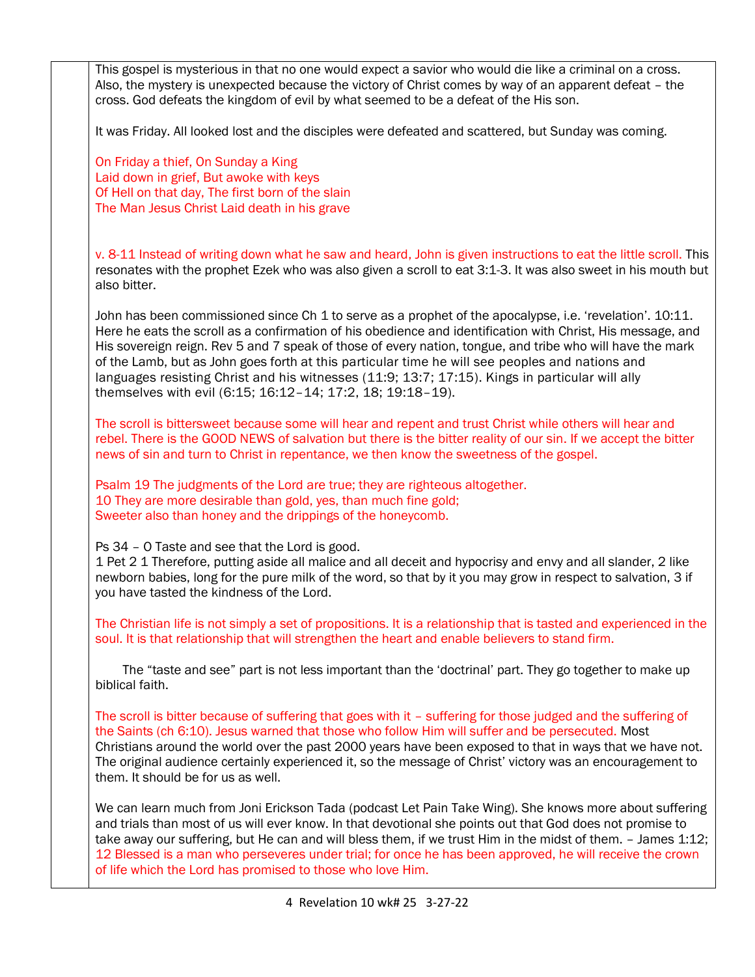This gospel is mysterious in that no one would expect a savior who would die like a criminal on a cross. Also, the mystery is unexpected because the victory of Christ comes by way of an apparent defeat – the cross. God defeats the kingdom of evil by what seemed to be a defeat of the His son.

It was Friday. All looked lost and the disciples were defeated and scattered, but Sunday was coming.

On Friday a thief, On Sunday a King Laid down in grief, But awoke with keys Of Hell on that day, The first born of the slain The Man Jesus Christ Laid death in his grave

v. 8-11 Instead of writing down what he saw and heard, John is given instructions to eat the little scroll. This resonates with the prophet Ezek who was also given a scroll to eat 3:1-3. It was also sweet in his mouth but also bitter.

John has been commissioned since Ch 1 to serve as a prophet of the apocalypse, i.e. 'revelation'. 10:11. Here he eats the scroll as a confirmation of his obedience and identification with Christ, His message, and His sovereign reign. Rev 5 and 7 speak of those of every nation, tongue, and tribe who will have the mark of the Lamb, but as John goes forth at this particular time he will see peoples and nations and languages resisting Christ and his witnesses [\(11:9; 13:7; 17:15\)](https://www.esv.org/Revelation+11%3A9%3B+Revelation+13%3A7%3B+Revelation+17%3A15/). Kings in particular will ally themselves with evil (6:15; 16:12–[14; 17:2, 18; 19:18](https://www.esv.org/Revelation+6%3A15%3B+Revelation+16%3A12%E2%80%9314%3B+Revelation+17%3A2%3B+Revelation+17%3A18%3B+Revelation+19%3A18%E2%80%9319/)–19).

The scroll is bittersweet because some will hear and repent and trust Christ while others will hear and rebel. There is the GOOD NEWS of salvation but there is the bitter reality of our sin. If we accept the bitter news of sin and turn to Christ in repentance, we then know the sweetness of the gospel.

Psalm 19 The judgments of the Lord are true; they are righteous altogether. 10 They are more desirable than gold, yes, than much fine gold; Sweeter also than honey and the drippings of the honeycomb.

Ps 34 – O Taste and see that the Lord is good.

1 Pet 2 1 Therefore, putting aside all malice and all deceit and hypocrisy and envy and all slander, 2 like newborn babies, long for the pure milk of the word, so that by it you may grow in respect to salvation, 3 if you have tasted the kindness of the Lord.

The Christian life is not simply a set of propositions. It is a relationship that is tasted and experienced in the soul. It is that relationship that will strengthen the heart and enable believers to stand firm.

 The "taste and see" part is not less important than the 'doctrinal' part. They go together to make up biblical faith.

The scroll is bitter because of suffering that goes with it – suffering for those judged and the suffering of the Saints (ch 6:10). Jesus warned that those who follow Him will suffer and be persecuted. Most Christians around the world over the past 2000 years have been exposed to that in ways that we have not. The original audience certainly experienced it, so the message of Christ' victory was an encouragement to them. It should be for us as well.

We can learn much from Joni Erickson Tada (podcast Let Pain Take Wing). She knows more about suffering and trials than most of us will ever know. In that devotional she points out that God does not promise to take away our suffering, but He can and will bless them, if we trust Him in the midst of them. – James 1:12; 12 Blessed is a man who perseveres under trial; for once he has been approved, he will receive the crown of life which the Lord has promised to those who love Him.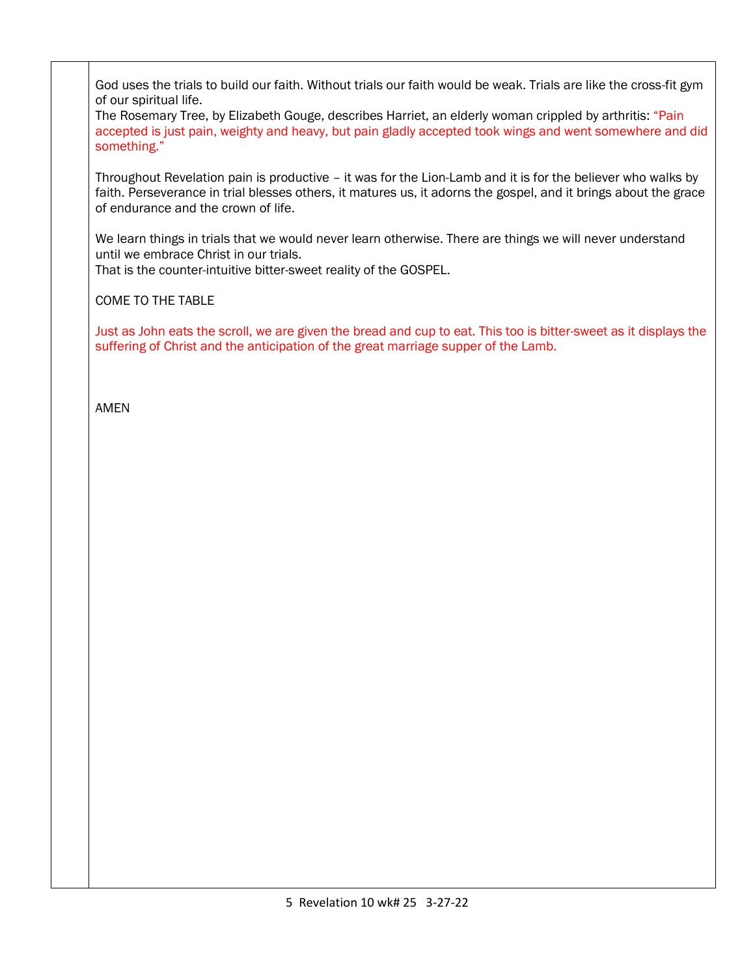God uses the trials to build our faith. Without trials our faith would be weak. Trials are like the cross-fit gym of our spiritual life.

The Rosemary Tree, by Elizabeth Gouge, describes Harriet, an elderly woman crippled by arthritis: "Pain accepted is just pain, weighty and heavy, but pain gladly accepted took wings and went somewhere and did something."

Throughout Revelation pain is productive – it was for the Lion-Lamb and it is for the believer who walks by faith. Perseverance in trial blesses others, it matures us, it adorns the gospel, and it brings about the grace of endurance and the crown of life.

We learn things in trials that we would never learn otherwise. There are things we will never understand until we embrace Christ in our trials.

That is the counter-intuitive bitter-sweet reality of the GOSPEL.

COME TO THE TABLE

Just as John eats the scroll, we are given the bread and cup to eat. This too is bitter-sweet as it displays the suffering of Christ and the anticipation of the great marriage supper of the Lamb.

AMEN